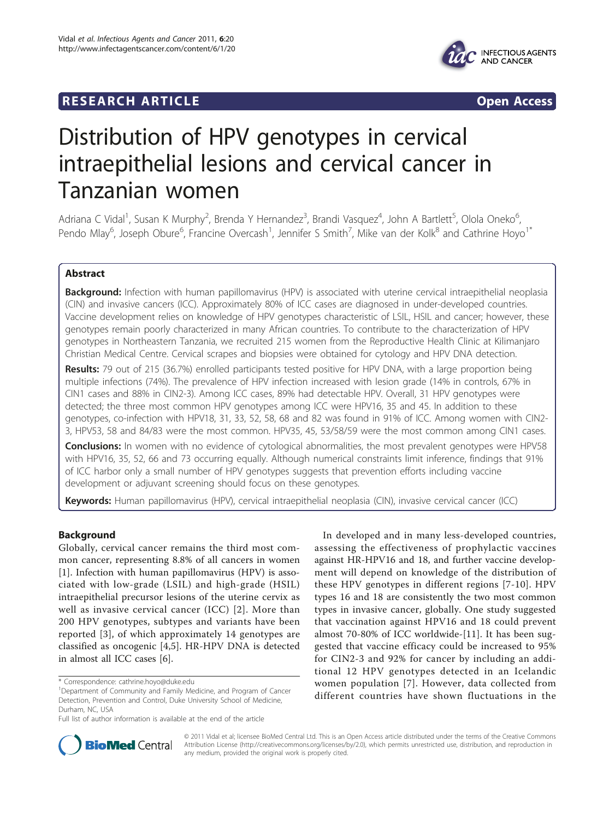## **RESEARCH ARTICLE Example 2008 Open Access**



# Distribution of HPV genotypes in cervical intraepithelial lesions and cervical cancer in Tanzanian women

Adriana C Vidal<sup>1</sup>, Susan K Murphy<sup>2</sup>, Brenda Y Hernandez<sup>3</sup>, Brandi Vasquez<sup>4</sup>, John A Bartlett<sup>5</sup>, Olola Oneko<sup>6</sup> , Pendo Mlay<sup>6</sup>, Joseph Obure<sup>6</sup>, Francine Overcash<sup>1</sup>, Jennifer S Smith<sup>7</sup>, Mike van der Kolk<sup>8</sup> and Cathrine Hoyo<sup>1\*</sup>

## Abstract

Background: Infection with human papillomavirus (HPV) is associated with uterine cervical intraepithelial neoplasia (CIN) and invasive cancers (ICC). Approximately 80% of ICC cases are diagnosed in under-developed countries. Vaccine development relies on knowledge of HPV genotypes characteristic of LSIL, HSIL and cancer; however, these genotypes remain poorly characterized in many African countries. To contribute to the characterization of HPV genotypes in Northeastern Tanzania, we recruited 215 women from the Reproductive Health Clinic at Kilimanjaro Christian Medical Centre. Cervical scrapes and biopsies were obtained for cytology and HPV DNA detection.

Results: 79 out of 215 (36.7%) enrolled participants tested positive for HPV DNA, with a large proportion being multiple infections (74%). The prevalence of HPV infection increased with lesion grade (14% in controls, 67% in CIN1 cases and 88% in CIN2-3). Among ICC cases, 89% had detectable HPV. Overall, 31 HPV genotypes were detected; the three most common HPV genotypes among ICC were HPV16, 35 and 45. In addition to these genotypes, co-infection with HPV18, 31, 33, 52, 58, 68 and 82 was found in 91% of ICC. Among women with CIN2- 3, HPV53, 58 and 84/83 were the most common. HPV35, 45, 53/58/59 were the most common among CIN1 cases.

**Conclusions:** In women with no evidence of cytological abnormalities, the most prevalent genotypes were HPV58 with HPV16, 35, 52, 66 and 73 occurring equally. Although numerical constraints limit inference, findings that 91% of ICC harbor only a small number of HPV genotypes suggests that prevention efforts including vaccine development or adjuvant screening should focus on these genotypes.

Keywords: Human papillomavirus (HPV), cervical intraepithelial neoplasia (CIN), invasive cervical cancer (ICC)

## Background

Globally, cervical cancer remains the third most common cancer, representing 8.8% of all cancers in women [[1\]](#page-6-0). Infection with human papillomavirus (HPV) is associated with low-grade (LSIL) and high-grade (HSIL) intraepithelial precursor lesions of the uterine cervix as well as invasive cervical cancer (ICC) [\[2\]](#page-6-0). More than 200 HPV genotypes, subtypes and variants have been reported [[3\]](#page-6-0), of which approximately 14 genotypes are classified as oncogenic [\[4](#page-6-0),[5\]](#page-6-0). HR-HPV DNA is detected in almost all ICC cases [[6\]](#page-6-0).

In developed and in many less-developed countries, assessing the effectiveness of prophylactic vaccines against HR-HPV16 and 18, and further vaccine development will depend on knowledge of the distribution of these HPV genotypes in different regions [[7](#page-6-0)-[10](#page-6-0)]. HPV types 16 and 18 are consistently the two most common types in invasive cancer, globally. One study suggested that vaccination against HPV16 and 18 could prevent almost 70-80% of ICC worldwide-[[11\]](#page-6-0). It has been suggested that vaccine efficacy could be increased to 95% for CIN2-3 and 92% for cancer by including an additional 12 HPV genotypes detected in an Icelandic women population [[7](#page-6-0)]. However, data collected from different countries have shown fluctuations in the



© 2011 Vidal et al; licensee BioMed Central Ltd. This is an Open Access article distributed under the terms of the Creative Commons Attribution License [\(http://creativecommons.org/licenses/by/2.0](http://creativecommons.org/licenses/by/2.0)), which permits unrestricted use, distribution, and reproduction in any medium, provided the original work is properly cited.

<sup>\*</sup> Correspondence: [cathrine.hoyo@duke.edu](mailto:cathrine.hoyo@duke.edu)

<sup>&</sup>lt;sup>1</sup>Department of Community and Family Medicine, and Program of Cancer Detection, Prevention and Control, Duke University School of Medicine, Durham, NC, USA

Full list of author information is available at the end of the article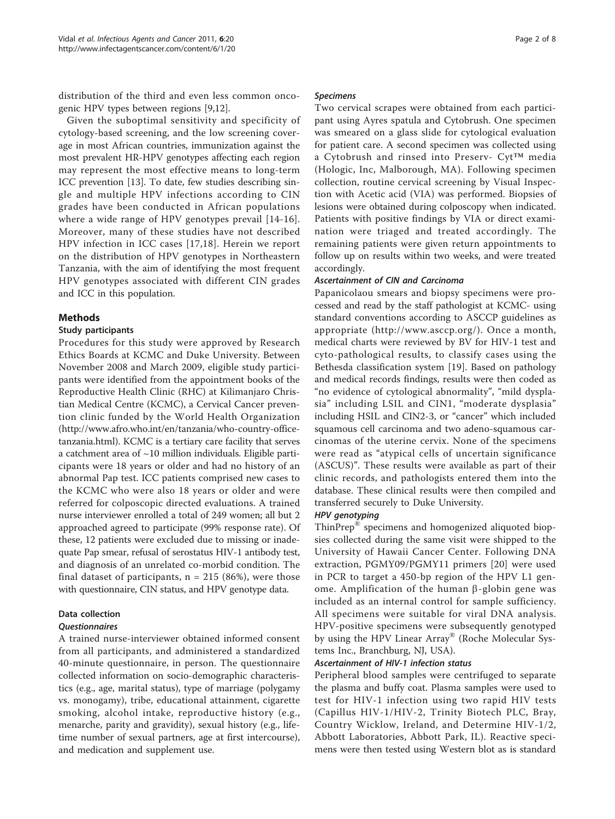distribution of the third and even less common oncogenic HPV types between regions [\[9,12\]](#page-6-0).

Given the suboptimal sensitivity and specificity of cytology-based screening, and the low screening coverage in most African countries, immunization against the most prevalent HR-HPV genotypes affecting each region may represent the most effective means to long-term ICC prevention [\[13](#page-6-0)]. To date, few studies describing single and multiple HPV infections according to CIN grades have been conducted in African populations where a wide range of HPV genotypes prevail [[14](#page-6-0)-[16](#page-6-0)]. Moreover, many of these studies have not described HPV infection in ICC cases [[17,18\]](#page-7-0). Herein we report on the distribution of HPV genotypes in Northeastern Tanzania, with the aim of identifying the most frequent HPV genotypes associated with different CIN grades and ICC in this population.

#### Methods

#### Study participants

Procedures for this study were approved by Research Ethics Boards at KCMC and Duke University. Between November 2008 and March 2009, eligible study participants were identified from the appointment books of the Reproductive Health Clinic (RHC) at Kilimanjaro Christian Medical Centre (KCMC), a Cervical Cancer prevention clinic funded by the World Health Organization ([http://www.afro.who.int/en/tanzania/who-country-office](http://www.afro.who.int/en/tanzania/who-country-office-tanzania.html)[tanzania.html](http://www.afro.who.int/en/tanzania/who-country-office-tanzania.html)). KCMC is a tertiary care facility that serves a catchment area of  $\sim$ 10 million individuals. Eligible participants were 18 years or older and had no history of an abnormal Pap test. ICC patients comprised new cases to the KCMC who were also 18 years or older and were referred for colposcopic directed evaluations. A trained nurse interviewer enrolled a total of 249 women; all but 2 approached agreed to participate (99% response rate). Of these, 12 patients were excluded due to missing or inadequate Pap smear, refusal of serostatus HIV-1 antibody test, and diagnosis of an unrelated co-morbid condition. The final dataset of participants,  $n = 215$  (86%), were those with questionnaire, CIN status, and HPV genotype data.

## Data collection

### Questionnaires

A trained nurse-interviewer obtained informed consent from all participants, and administered a standardized 40-minute questionnaire, in person. The questionnaire collected information on socio-demographic characteristics (e.g., age, marital status), type of marriage (polygamy vs. monogamy), tribe, educational attainment, cigarette smoking, alcohol intake, reproductive history (e.g., menarche, parity and gravidity), sexual history (e.g., lifetime number of sexual partners, age at first intercourse), and medication and supplement use.

#### Specimens

Two cervical scrapes were obtained from each participant using Ayres spatula and Cytobrush. One specimen was smeared on a glass slide for cytological evaluation for patient care. A second specimen was collected using a Cytobrush and rinsed into Preserv- Cyt™ media (Hologic, Inc, Malborough, MA). Following specimen collection, routine cervical screening by Visual Inspection with Acetic acid (VIA) was performed. Biopsies of lesions were obtained during colposcopy when indicated. Patients with positive findings by VIA or direct examination were triaged and treated accordingly. The remaining patients were given return appointments to follow up on results within two weeks, and were treated accordingly.

#### Ascertainment of CIN and Carcinoma

Papanicolaou smears and biopsy specimens were processed and read by the staff pathologist at KCMC- using standard conventions according to ASCCP guidelines as appropriate ([http://www.asccp.org/](http://www.asccp.org)). Once a month, medical charts were reviewed by BV for HIV-1 test and cyto-pathological results, to classify cases using the Bethesda classification system [\[19](#page-7-0)]. Based on pathology and medical records findings, results were then coded as "no evidence of cytological abnormality", "mild dysplasia" including LSIL and CIN1, "moderate dysplasia" including HSIL and CIN2-3, or "cancer" which included squamous cell carcinoma and two adeno-squamous carcinomas of the uterine cervix. None of the specimens were read as "atypical cells of uncertain significance (ASCUS)". These results were available as part of their clinic records, and pathologists entered them into the database. These clinical results were then compiled and transferred securely to Duke University.

#### HPV genotyping

ThinPrep® specimens and homogenized aliquoted biopsies collected during the same visit were shipped to the University of Hawaii Cancer Center. Following DNA extraction, PGMY09/PGMY11 primers [[20\]](#page-7-0) were used in PCR to target a 450-bp region of the HPV L1 genome. Amplification of the human  $\beta$ -globin gene was included as an internal control for sample sufficiency. All specimens were suitable for viral DNA analysis. HPV-positive specimens were subsequently genotyped by using the HPV Linear Array® (Roche Molecular Systems Inc., Branchburg, NJ, USA).

#### Ascertainment of HIV-1 infection status

Peripheral blood samples were centrifuged to separate the plasma and buffy coat. Plasma samples were used to test for HIV-1 infection using two rapid HIV tests (Capillus HIV-1/HIV-2, Trinity Biotech PLC, Bray, Country Wicklow, Ireland, and Determine HIV-1/2, Abbott Laboratories, Abbott Park, IL). Reactive specimens were then tested using Western blot as is standard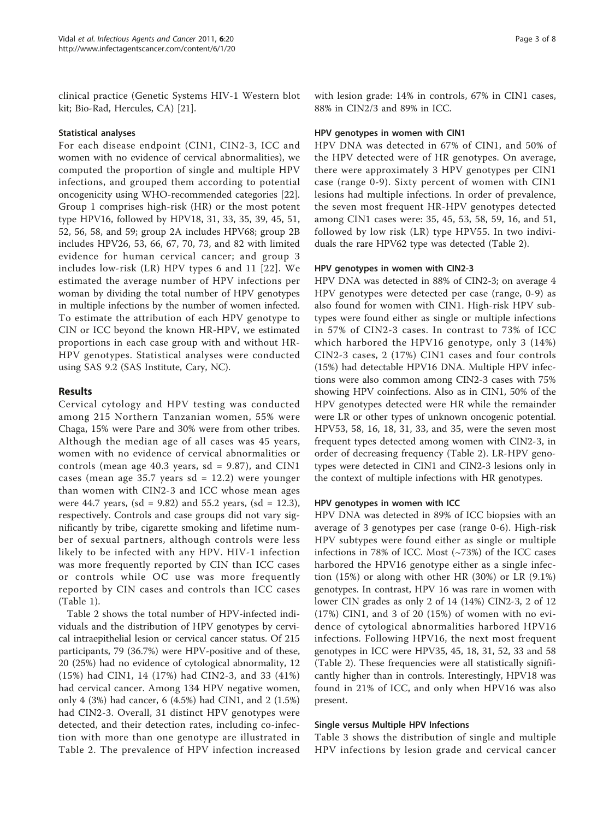clinical practice (Genetic Systems HIV-1 Western blot kit; Bio-Rad, Hercules, CA) [[21\]](#page-7-0).

#### Statistical analyses

For each disease endpoint (CIN1, CIN2-3, ICC and women with no evidence of cervical abnormalities), we computed the proportion of single and multiple HPV infections, and grouped them according to potential oncogenicity using WHO-recommended categories [\[22](#page-7-0)]. Group 1 comprises high-risk (HR) or the most potent type HPV16, followed by HPV18, 31, 33, 35, 39, 45, 51, 52, 56, 58, and 59; group 2A includes HPV68; group 2B includes HPV26, 53, 66, 67, 70, 73, and 82 with limited evidence for human cervical cancer; and group 3 includes low-risk (LR) HPV types 6 and 11 [[22](#page-7-0)]. We estimated the average number of HPV infections per woman by dividing the total number of HPV genotypes in multiple infections by the number of women infected. To estimate the attribution of each HPV genotype to CIN or ICC beyond the known HR-HPV, we estimated proportions in each case group with and without HR-HPV genotypes. Statistical analyses were conducted using SAS 9.2 (SAS Institute, Cary, NC).

#### Results

Cervical cytology and HPV testing was conducted among 215 Northern Tanzanian women, 55% were Chaga, 15% were Pare and 30% were from other tribes. Although the median age of all cases was 45 years, women with no evidence of cervical abnormalities or controls (mean age 40.3 years,  $sd = 9.87$ ), and CIN1 cases (mean age 35.7 years  $sd = 12.2$ ) were younger than women with CIN2-3 and ICC whose mean ages were 44.7 years, (sd =  $9.82$ ) and 55.2 years, (sd = 12.3), respectively. Controls and case groups did not vary significantly by tribe, cigarette smoking and lifetime number of sexual partners, although controls were less likely to be infected with any HPV. HIV-1 infection was more frequently reported by CIN than ICC cases or controls while OC use was more frequently reported by CIN cases and controls than ICC cases (Table [1\)](#page-3-0).

Table [2](#page-4-0) shows the total number of HPV-infected individuals and the distribution of HPV genotypes by cervical intraepithelial lesion or cervical cancer status. Of 215 participants, 79 (36.7%) were HPV-positive and of these, 20 (25%) had no evidence of cytological abnormality, 12 (15%) had CIN1, 14 (17%) had CIN2-3, and 33 (41%) had cervical cancer. Among 134 HPV negative women, only 4 (3%) had cancer, 6 (4.5%) had CIN1, and 2 (1.5%) had CIN2-3. Overall, 31 distinct HPV genotypes were detected, and their detection rates, including co-infection with more than one genotype are illustrated in Table [2.](#page-4-0) The prevalence of HPV infection increased

with lesion grade: 14% in controls, 67% in CIN1 cases, 88% in CIN2/3 and 89% in ICC.

#### HPV genotypes in women with CIN1

HPV DNA was detected in 67% of CIN1, and 50% of the HPV detected were of HR genotypes. On average, there were approximately 3 HPV genotypes per CIN1 case (range 0-9). Sixty percent of women with CIN1 lesions had multiple infections. In order of prevalence, the seven most frequent HR-HPV genotypes detected among CIN1 cases were: 35, 45, 53, 58, 59, 16, and 51, followed by low risk (LR) type HPV55. In two individuals the rare HPV62 type was detected (Table [2](#page-4-0)).

#### HPV genotypes in women with CIN2-3

HPV DNA was detected in 88% of CIN2-3; on average 4 HPV genotypes were detected per case (range, 0-9) as also found for women with CIN1. High-risk HPV subtypes were found either as single or multiple infections in 57% of CIN2-3 cases. In contrast to 73% of ICC which harbored the HPV16 genotype, only 3 (14%) CIN2-3 cases, 2 (17%) CIN1 cases and four controls (15%) had detectable HPV16 DNA. Multiple HPV infections were also common among CIN2-3 cases with 75% showing HPV coinfections. Also as in CIN1, 50% of the HPV genotypes detected were HR while the remainder were LR or other types of unknown oncogenic potential. HPV53, 58, 16, 18, 31, 33, and 35, were the seven most frequent types detected among women with CIN2-3, in order of decreasing frequency (Table [2\)](#page-4-0). LR-HPV genotypes were detected in CIN1 and CIN2-3 lesions only in the context of multiple infections with HR genotypes.

#### HPV genotypes in women with ICC

HPV DNA was detected in 89% of ICC biopsies with an average of 3 genotypes per case (range 0-6). High-risk HPV subtypes were found either as single or multiple infections in 78% of ICC. Most (~73%) of the ICC cases harbored the HPV16 genotype either as a single infection (15%) or along with other HR (30%) or LR (9.1%) genotypes. In contrast, HPV 16 was rare in women with lower CIN grades as only 2 of 14 (14%) CIN2-3, 2 of 12 (17%) CIN1, and 3 of 20 (15%) of women with no evidence of cytological abnormalities harbored HPV16 infections. Following HPV16, the next most frequent genotypes in ICC were HPV35, 45, 18, 31, 52, 33 and 58 (Table [2](#page-4-0)). These frequencies were all statistically significantly higher than in controls. Interestingly, HPV18 was found in 21% of ICC, and only when HPV16 was also present.

#### Single versus Multiple HPV Infections

Table [3](#page-5-0) shows the distribution of single and multiple HPV infections by lesion grade and cervical cancer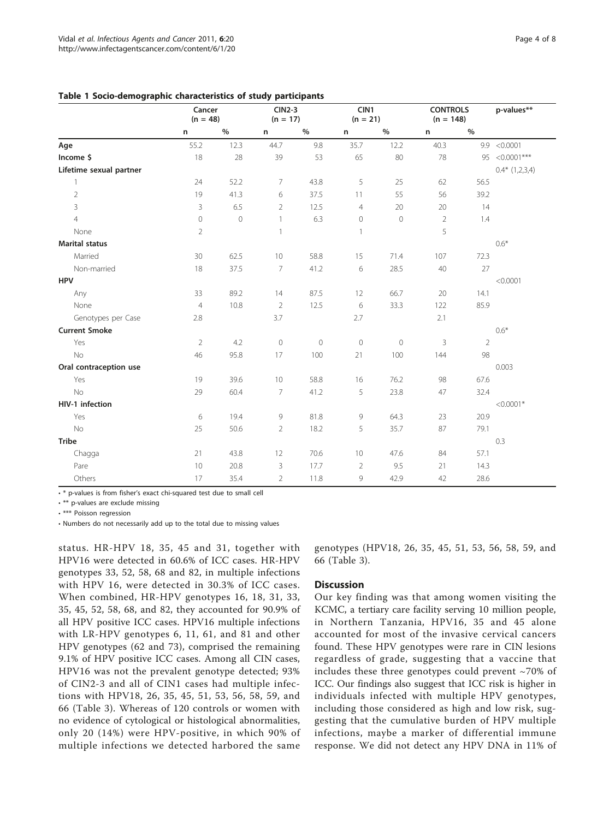<span id="page-3-0"></span>Table 1 Socio-demographic characteristics of study participants

|                         | Cancer<br>$(n = 48)$ |         | <b>CIN2-3</b><br>$(n = 17)$ |             | CIN1<br>$(n = 21)$ |         | <b>CONTROLS</b><br>$(n = 148)$ |                | p-values**         |
|-------------------------|----------------------|---------|-----------------------------|-------------|--------------------|---------|--------------------------------|----------------|--------------------|
|                         | n                    | $\%$    | n                           | $\%$        | n                  | $\%$    | n                              | $\%$           |                    |
| Age                     | 55.2                 | 12.3    | 44.7                        | 9.8         | 35.7               | 12.2    | 40.3                           |                | 9.9 < 0.0001       |
| Income \$               | 18                   | 28      | 39                          | 53          | 65                 | 80      | 78                             |                | 95 <0.0001***      |
| Lifetime sexual partner |                      |         |                             |             |                    |         |                                |                | $0.4*$ $(1,2,3,4)$ |
| 1                       | 24                   | 52.2    | 7                           | 43.8        | 5                  | 25      | 62                             | 56.5           |                    |
| $\overline{2}$          | 19                   | 41.3    | 6                           | 37.5        | 11                 | 55      | 56                             | 39.2           |                    |
| 3                       | 3                    | 6.5     | 2                           | 12.5        | $\overline{4}$     | 20      | 20                             | 14             |                    |
| $\overline{4}$          | $\mathbf 0$          | $\circ$ | $\overline{1}$              | 6.3         | $\mathbf 0$        | $\circ$ | $\overline{2}$                 | 1.4            |                    |
| None                    | $\overline{2}$       |         | $\mathbf{1}$                |             | $\mathbf{1}$       |         | 5                              |                |                    |
| <b>Marital status</b>   |                      |         |                             |             |                    |         |                                |                | $0.6*$             |
| Married                 | 30                   | 62.5    | 10                          | 58.8        | 15                 | 71.4    | 107                            | 72.3           |                    |
| Non-married             | 18                   | 37.5    | $\overline{7}$              | 41.2        | 6                  | 28.5    | 40                             | 27             |                    |
| <b>HPV</b>              |                      |         |                             |             |                    |         |                                |                | < 0.0001           |
| Any                     | 33                   | 89.2    | 14                          | 87.5        | 12                 | 66.7    | 20                             | 14.1           |                    |
| None                    | $\overline{4}$       | 10.8    | 2                           | 12.5        | 6                  | 33.3    | 122                            | 85.9           |                    |
| Genotypes per Case      | 2.8                  |         | 3.7                         |             | 2.7                |         | 2.1                            |                |                    |
| <b>Current Smoke</b>    |                      |         |                             |             |                    |         |                                |                | $0.6*$             |
| Yes                     | $\overline{2}$       | 4.2     | $\mathbf 0$                 | $\mathbf 0$ | $\circ$            | $\circ$ | 3                              | $\overline{2}$ |                    |
| No                      | 46                   | 95.8    | 17                          | 100         | 21                 | 100     | 144                            | 98             |                    |
| Oral contraception use  |                      |         |                             |             |                    |         |                                |                | 0.003              |
| Yes                     | 19                   | 39.6    | 10                          | 58.8        | 16                 | 76.2    | 98                             | 67.6           |                    |
| No                      | 29                   | 60.4    | 7                           | 41.2        | 5                  | 23.8    | 47                             | 32.4           |                    |
| HIV-1 infection         |                      |         |                             |             |                    |         |                                |                | $<$ 0.0001*        |
| Yes                     | 6                    | 19.4    | 9                           | 81.8        | 9                  | 64.3    | 23                             | 20.9           |                    |
| No                      | 25                   | 50.6    | $\overline{2}$              | 18.2        | 5                  | 35.7    | 87                             | 79.1           |                    |
| <b>Tribe</b>            |                      |         |                             |             |                    |         |                                |                | 0.3                |
| Chagga                  | 21                   | 43.8    | 12                          | 70.6        | 10                 | 47.6    | 84                             | 57.1           |                    |
| Pare                    | 10                   | 20.8    | 3                           | 17.7        | $\overline{2}$     | 9.5     | 21                             | 14.3           |                    |
| Others                  | 17                   | 35.4    | $\overline{2}$              | 11.8        | 9                  | 42.9    | 42                             | 28.6           |                    |

• \* p-values is from fisher's exact chi-squared test due to small cell

• \*\* p-values are exclude missing

• \*\*\* Poisson regression

• Numbers do not necessarily add up to the total due to missing values

status. HR-HPV 18, 35, 45 and 31, together with HPV16 were detected in 60.6% of ICC cases. HR-HPV genotypes 33, 52, 58, 68 and 82, in multiple infections with HPV 16, were detected in 30.3% of ICC cases. When combined, HR-HPV genotypes 16, 18, 31, 33, 35, 45, 52, 58, 68, and 82, they accounted for 90.9% of all HPV positive ICC cases. HPV16 multiple infections with LR-HPV genotypes 6, 11, 61, and 81 and other HPV genotypes (62 and 73), comprised the remaining 9.1% of HPV positive ICC cases. Among all CIN cases, HPV16 was not the prevalent genotype detected; 93% of CIN2-3 and all of CIN1 cases had multiple infections with HPV18, 26, 35, 45, 51, 53, 56, 58, 59, and 66 (Table [3](#page-5-0)). Whereas of 120 controls or women with no evidence of cytological or histological abnormalities, only 20 (14%) were HPV-positive, in which 90% of multiple infections we detected harbored the same

genotypes (HPV18, 26, 35, 45, 51, 53, 56, 58, 59, and 66 (Table [3](#page-5-0)).

#### **Discussion**

Our key finding was that among women visiting the KCMC, a tertiary care facility serving 10 million people, in Northern Tanzania, HPV16, 35 and 45 alone accounted for most of the invasive cervical cancers found. These HPV genotypes were rare in CIN lesions regardless of grade, suggesting that a vaccine that includes these three genotypes could prevent ~70% of ICC. Our findings also suggest that ICC risk is higher in individuals infected with multiple HPV genotypes, including those considered as high and low risk, suggesting that the cumulative burden of HPV multiple infections, maybe a marker of differential immune response. We did not detect any HPV DNA in 11% of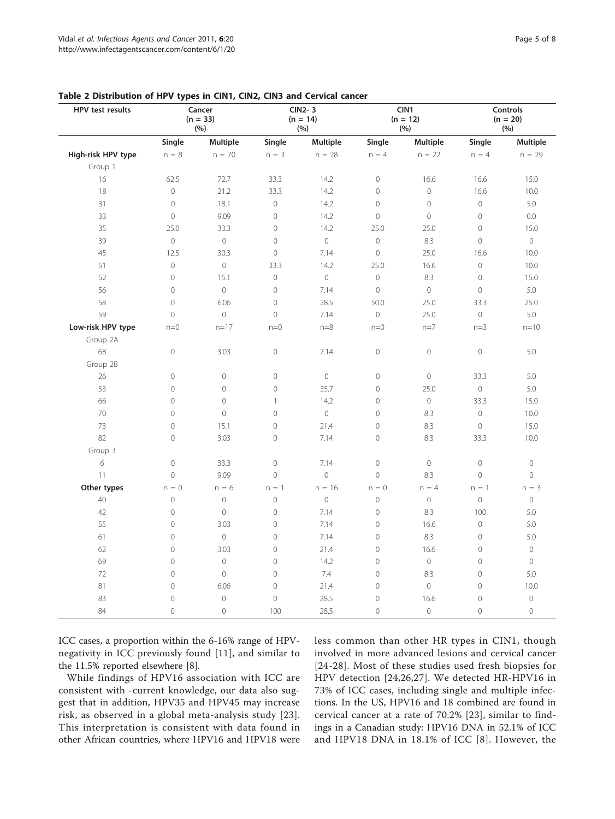| HPV test results   | Cancer<br>$(n = 33)$<br>(%) |                | <b>CIN2-3</b><br>$(n = 14)$<br>(%) |              | CIN1<br>$(n = 12)$<br>(%) |                | <b>Controls</b><br>$(n = 20)$<br>(%) |                     |
|--------------------|-----------------------------|----------------|------------------------------------|--------------|---------------------------|----------------|--------------------------------------|---------------------|
|                    | Single                      | Multiple       | Single                             | Multiple     | Single                    | Multiple       | Single                               | Multiple            |
| High-risk HPV type | $n = 8$                     | $n = 70$       | $n = 3$                            | $n = 28$     | $n = 4$                   | $n = 22$       | $n = 4$                              | $n = 29$            |
| Group 1            |                             |                |                                    |              |                           |                |                                      |                     |
| 16                 | 62.5                        | 72.7           | 33.3                               | 14.2         | $\mathbf 0$               | 16.6           | 16.6                                 | 15.0                |
| 18                 | $\mathbf 0$                 | 21.2           | 33.3                               | 14.2         | $\mathsf{O}\xspace$       | $\circ$        | 16.6                                 | 10.0                |
| 31                 | $\overline{0}$              | 18.1           | $\circ$                            | 14.2         | $\circ$                   | $\circ$        | $\circ$                              | 5.0                 |
| 33                 | $\circ$                     | 9.09           | $\overline{0}$                     | 14.2         | $\mathbf 0$               | $\overline{0}$ | $\circ$                              | 0.0                 |
| 35                 | 25.0                        | 33.3           | $\mathbf 0$                        | 14.2         | 25.0                      | 25.0           | $\Omega$                             | 15.0                |
| 39                 | $\overline{0}$              | $\circ$        | $\overline{0}$                     | $\mathbf{0}$ | $\overline{0}$            | 8.3            | $\circ$                              | $\circ$             |
| 45                 | 12.5                        | 30.3           | $\circ$                            | 7.14         | $\circ$                   | 25.0           | 16.6                                 | 10.0                |
| 51                 | $\overline{0}$              | $\circ$        | 33.3                               | 14.2         | 25.0                      | 16.6           | $\circ$                              | 10.0                |
| 52                 | $\overline{0}$              | 15.1           | $\circledcirc$                     | $\mathbf 0$  | $\overline{0}$            | 8.3            | $\circ$                              | 15.0                |
| 56                 | $\overline{0}$              | $\circ$        | $\overline{0}$                     | 7.14         | $\overline{0}$            | $\circ$        | $\circ$                              | $5.0\,$             |
| 58                 | $\overline{0}$              | 6.06           | $\circ$                            | 28.5         | 50.0                      | 25.0           | 33.3                                 | 25.0                |
| 59                 | $\overline{0}$              | $\circ$        | $\overline{0}$                     | 7.14         | $\circ$                   | 25.0           | $\circ$                              | 5.0                 |
| Low-risk HPV type  | $n=0$                       | $n = 17$       | $n=0$                              | $n=8$        | $n=0$                     | $n=7$          | $n=3$                                | $n = 10$            |
| Group 2A           |                             |                |                                    |              |                           |                |                                      |                     |
| 68                 | $\mathcal O$                | 3.03           | $\mathbf 0$                        | 7.14         | $\circ$                   | $\circledcirc$ | $\circ$                              | 5.0                 |
| Group 2B           |                             |                |                                    |              |                           |                |                                      |                     |
| 26                 | $\mathbf 0$                 | $\mathbb O$    | $\circledcirc$                     | $\mathbf 0$  | $\mathbf 0$               | $\mathbf 0$    | 33.3                                 | 5.0                 |
| 53                 | $\overline{0}$              | $\mathbf 0$    | $\circ$                            | 35.7         | $\overline{0}$            | 25.0           | $\circ$                              | 5.0                 |
| 66                 | $\overline{0}$              | $\mathcal{O}$  | $\mathbf{1}$                       | 14.2         | $\mathbf 0$               | $\circ$        | 33.3                                 | 15.0                |
| 70                 | $\mathcal O$                | $\circledcirc$ | $\circledcirc$                     | $\mathbb O$  | $\mathbf 0$               | 8.3            | $\circ$                              | 10.0                |
| 73                 | $\overline{0}$              | 15.1           | $\mathbf 0$                        | 21.4         | $\overline{0}$            | 8.3            | $\circ$                              | 15.0                |
| 82                 | $\overline{0}$              | 3.03           | $\overline{0}$                     | 7.14         | $\overline{0}$            | 8.3            | 33.3                                 | 10.0                |
| Group 3            |                             |                |                                    |              |                           |                |                                      |                     |
| 6                  | $\mathcal O$                | 33.3           | $\mathbf 0$                        | 7.14         | $\mathbf 0$               | $\mathbf 0$    | $\mathbf 0$                          | $\circ$             |
| 11                 | $\circ$                     | 9.09           | $\circ$                            | $\circ$      | $\overline{0}$            | 8.3            | $\overline{0}$                       | $\mathbf 0$         |
| Other types        | $n = 0$                     | $n = 6$        | $n = 1$                            | $n = 16$     | $n = 0$                   | $n = 4$        | $n = 1$                              | $n = 3$             |
| 40                 | $\circ$                     | $\mathbf 0$    | $\mathbf 0$                        | $\circ$      | $\overline{0}$            | $\mathbf 0$    | $\overline{0}$                       | $\circledcirc$      |
| 42                 | $\overline{0}$              | $\circ$        | $\overline{0}$                     | 7.14         | $\overline{0}$            | 8.3            | 100                                  | 5.0                 |
| 55                 | $\overline{0}$              | 3.03           | $\mathbf 0$                        | 7.14         | $\mathbf 0$               | 16.6           | $\circ$                              | 5.0                 |
| 61                 | $\overline{0}$              | $\mathbf 0$    | $\mathbf 0$                        | 7.14         | $\circ$                   | 8.3            | $\circ$                              | 5.0                 |
| 62                 | $\overline{0}$              | 3.03           | $\circ$                            | 21.4         | $\overline{0}$            | 16.6           | $\circ$                              | $\circ$             |
| 69                 | $\overline{0}$              | $\circledcirc$ | $\circ$                            | 14.2         | $\mathbf 0$               | $\circ$        | $\circ$                              | $\circ$             |
| 72                 | $\overline{0}$              | $\mathbf 0$    | $\overline{0}$                     | 7.4          | $\overline{0}$            | 8.3            | $\circ$                              | 5.0                 |
| 81                 | $\overline{0}$              | 6.06           | $\mathbf 0$                        | 21.4         | $\circ$                   | $\overline{0}$ | $\circ$                              | 10.0                |
| 83                 | $\mathcal O$                | $\mathbf 0$    | $\mathbf 0$                        | 28.5         | $\mathbf 0$               | 16.6           | $\mathbf 0$                          | $\mathsf{O}\xspace$ |
| 84                 | $\overline{O}$              | $\Omega$       | 100                                | 28.5         | $\circ$                   | $\circ$        | $\overline{0}$                       | $\Omega$            |

#### <span id="page-4-0"></span>Table 2 Distribution of HPV types in CIN1, CIN2, CIN3 and Cervical cancer

ICC cases, a proportion within the 6-16% range of HPVnegativity in ICC previously found [[11\]](#page-6-0), and similar to the 11.5% reported elsewhere [[8](#page-6-0)].

While findings of HPV16 association with ICC are consistent with -current knowledge, our data also suggest that in addition, HPV35 and HPV45 may increase risk, as observed in a global meta-analysis study [[23\]](#page-7-0). This interpretation is consistent with data found in other African countries, where HPV16 and HPV18 were less common than other HR types in CIN1, though involved in more advanced lesions and cervical cancer [[24-28\]](#page-7-0). Most of these studies used fresh biopsies for HPV detection [[24,26](#page-7-0),[27](#page-7-0)]. We detected HR-HPV16 in 73% of ICC cases, including single and multiple infections. In the US, HPV16 and 18 combined are found in cervical cancer at a rate of 70.2% [\[23](#page-7-0)], similar to findings in a Canadian study: HPV16 DNA in 52.1% of ICC and HPV18 DNA in 18.1% of ICC [[8](#page-6-0)]. However, the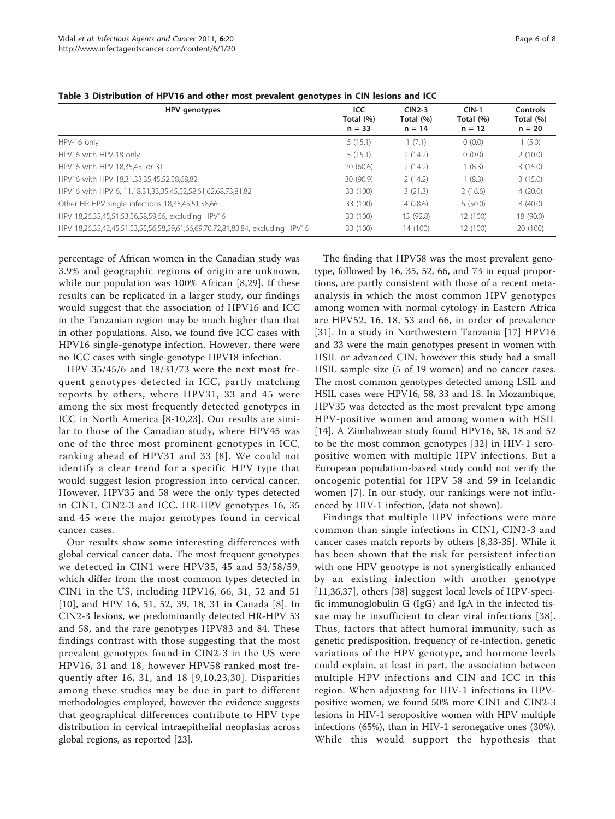| HPV genotypes                                                                 | ICC<br>Total (%)<br>$n = 33$ | $CIN2-3$<br>Total (%)<br>$n = 14$ | $CIN-1$<br>Total (%)<br>$n = 12$ | Controls<br>Total (%)<br>$n = 20$ |
|-------------------------------------------------------------------------------|------------------------------|-----------------------------------|----------------------------------|-----------------------------------|
| HPV-16 only                                                                   | 5(15.1)                      | 1(7.1)                            | 0(0.0)                           | 1(5.0)                            |
| HPV16 with HPV-18 only                                                        | 5(15.1)                      | 2(14.2)                           | 0(0.0)                           | 2(10.0)                           |
| HPV16 with HPV 18,35,45, or 31                                                | 20(60.6)                     | 2(14.2)                           | 1(8.3)                           | 3(15.0)                           |
| HPV16 with HPV 18,31,33,35,45,52,58,68,82                                     | 30(90.9)                     | 2(14.2)                           | 1(8.3)                           | 3(15.0)                           |
| HPV16 with HPV 6, 11,18,31,33,35,45,52,58,61,62,68,73,81,82                   | 33 (100)                     | 3(21.3)                           | 2(16.6)                          | 4(20.0)                           |
| Other HR-HPV single infections 18,35,45,51,58,66                              | 33 (100)                     | 4(28.6)                           | 6(50.0)                          | 8(40.0)                           |
| HPV 18,26,35,45,51,53,56,58,59,66, excluding HPV16                            | 33 (100)                     | 13 (92.8)                         | 12 (100)                         | 18 (90.0)                         |
| HPV 18,26,35,42,45,51,53,55,56,58,59,61,66,69,70,72,81,83,84, excluding HPV16 | 33 (100)                     | 14 (100)                          | 12 (100)                         | 20 (100)                          |

<span id="page-5-0"></span>Table 3 Distribution of HPV16 and other most prevalent genotypes in CIN lesions and ICC

percentage of African women in the Canadian study was 3.9% and geographic regions of origin are unknown, while our population was 100% African [\[8](#page-6-0),[29\]](#page-7-0). If these results can be replicated in a larger study, our findings would suggest that the association of HPV16 and ICC in the Tanzanian region may be much higher than that in other populations. Also, we found five ICC cases with HPV16 single-genotype infection. However, there were no ICC cases with single-genotype HPV18 infection.

HPV 35/45/6 and 18/31/73 were the next most frequent genotypes detected in ICC, partly matching reports by others, where HPV31, 33 and 45 were among the six most frequently detected genotypes in ICC in North America [\[8-10](#page-6-0),[23\]](#page-7-0). Our results are similar to those of the Canadian study, where HPV45 was one of the three most prominent genotypes in ICC, ranking ahead of HPV31 and 33 [[8\]](#page-6-0). We could not identify a clear trend for a specific HPV type that would suggest lesion progression into cervical cancer. However, HPV35 and 58 were the only types detected in CIN1, CIN2-3 and ICC. HR-HPV genotypes 16, 35 and 45 were the major genotypes found in cervical cancer cases.

Our results show some interesting differences with global cervical cancer data. The most frequent genotypes we detected in CIN1 were HPV35, 45 and 53/58/59, which differ from the most common types detected in CIN1 in the US, including HPV16, 66, 31, 52 and 51 [[10](#page-6-0)], and HPV 16, 51, 52, 39, 18, 31 in Canada [\[8](#page-6-0)]. In CIN2-3 lesions, we predominantly detected HR-HPV 53 and 58, and the rare genotypes HPV83 and 84. These findings contrast with those suggesting that the most prevalent genotypes found in CIN2-3 in the US were HPV16, 31 and 18, however HPV58 ranked most frequently after 16, 31, and 18 [[9](#page-6-0),[10](#page-6-0),[23,30\]](#page-7-0). Disparities among these studies may be due in part to different methodologies employed; however the evidence suggests that geographical differences contribute to HPV type distribution in cervical intraepithelial neoplasias across global regions, as reported [[23](#page-7-0)].

The finding that HPV58 was the most prevalent genotype, followed by 16, 35, 52, 66, and 73 in equal proportions, are partly consistent with those of a recent metaanalysis in which the most common HPV genotypes among women with normal cytology in Eastern Africa are HPV52, 16, 18, 53 and 66, in order of prevalence [[31](#page-7-0)]. In a study in Northwestern Tanzania [[17\]](#page-7-0) HPV16 and 33 were the main genotypes present in women with HSIL or advanced CIN; however this study had a small HSIL sample size (5 of 19 women) and no cancer cases. The most common genotypes detected among LSIL and HSIL cases were HPV16, 58, 33 and 18. In Mozambique, HPV35 was detected as the most prevalent type among HPV-positive women and among women with HSIL [[14\]](#page-6-0). A Zimbabwean study found HPV16, 58, 18 and 52 to be the most common genotypes [\[32](#page-7-0)] in HIV-1 seropositive women with multiple HPV infections. But a European population-based study could not verify the oncogenic potential for HPV 58 and 59 in Icelandic women [\[7\]](#page-6-0). In our study, our rankings were not influenced by HIV-1 infection, (data not shown).

Findings that multiple HPV infections were more common than single infections in CIN1, CIN2-3 and cancer cases match reports by others [[8](#page-6-0),[33-35\]](#page-7-0). While it has been shown that the risk for persistent infection with one HPV genotype is not synergistically enhanced by an existing infection with another genotype [[11,](#page-6-0)[36,37\]](#page-7-0), others [\[38](#page-7-0)] suggest local levels of HPV-specific immunoglobulin G (IgG) and IgA in the infected tissue may be insufficient to clear viral infections [\[38\]](#page-7-0). Thus, factors that affect humoral immunity, such as genetic predisposition, frequency of re-infection, genetic variations of the HPV genotype, and hormone levels could explain, at least in part, the association between multiple HPV infections and CIN and ICC in this region. When adjusting for HIV-1 infections in HPVpositive women, we found 50% more CIN1 and CIN2-3 lesions in HIV-1 seropositive women with HPV multiple infections (65%), than in HIV-1 seronegative ones (30%). While this would support the hypothesis that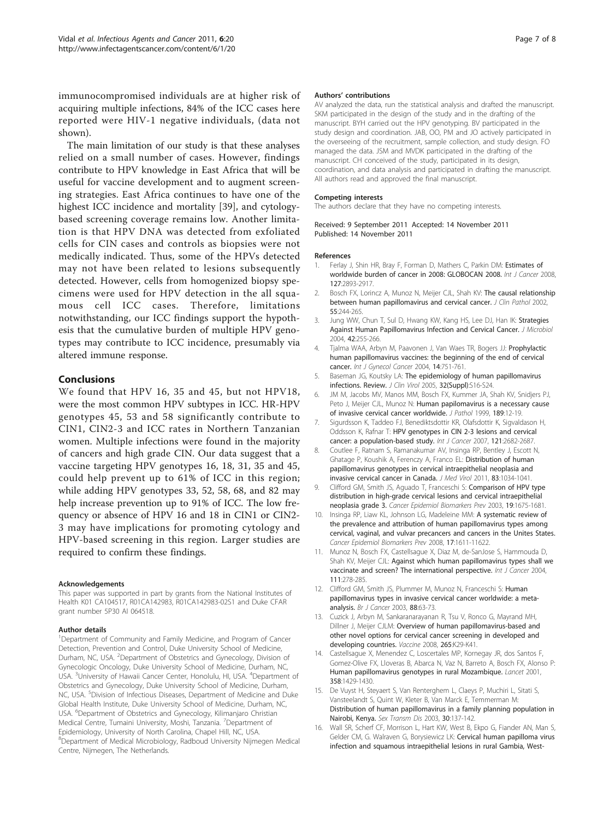<span id="page-6-0"></span>immunocompromised individuals are at higher risk of acquiring multiple infections, 84% of the ICC cases here reported were HIV-1 negative individuals, (data not shown).

The main limitation of our study is that these analyses relied on a small number of cases. However, findings contribute to HPV knowledge in East Africa that will be useful for vaccine development and to augment screening strategies. East Africa continues to have one of the highest ICC incidence and mortality [\[39](#page-7-0)], and cytologybased screening coverage remains low. Another limitation is that HPV DNA was detected from exfoliated cells for CIN cases and controls as biopsies were not medically indicated. Thus, some of the HPVs detected may not have been related to lesions subsequently detected. However, cells from homogenized biopsy specimens were used for HPV detection in the all squamous cell ICC cases. Therefore, limitations notwithstanding, our ICC findings support the hypothesis that the cumulative burden of multiple HPV genotypes may contribute to ICC incidence, presumably via altered immune response.

#### Conclusions

We found that HPV 16, 35 and 45, but not HPV18, were the most common HPV subtypes in ICC. HR-HPV genotypes 45, 53 and 58 significantly contribute to CIN1, CIN2-3 and ICC rates in Northern Tanzanian women. Multiple infections were found in the majority of cancers and high grade CIN. Our data suggest that a vaccine targeting HPV genotypes 16, 18, 31, 35 and 45, could help prevent up to 61% of ICC in this region; while adding HPV genotypes 33, 52, 58, 68, and 82 may help increase prevention up to 91% of ICC. The low frequency or absence of HPV 16 and 18 in CIN1 or CIN2- 3 may have implications for promoting cytology and HPV-based screening in this region. Larger studies are required to confirm these findings.

#### Acknowledgements

This paper was supported in part by grants from the National Institutes of Health K01 CA104517, R01CA142983, R01CA142983-02S1 and Duke CFAR grant number 5P30 AI 064518.

#### Author details

<sup>1</sup>Department of Community and Family Medicine, and Program of Cancer Detection, Prevention and Control, Duke University School of Medicine, Durham, NC, USA. <sup>2</sup>Department of Obstetrics and Gynecology, Division of Gynecologic Oncology, Duke University School of Medicine, Durham, NC, USA. <sup>3</sup>University of Hawaii Cancer Center, Honolulu, HI, USA. <sup>4</sup>Department of Obstetrics and Gynecology, Duke University School of Medicine, Durham, NC, USA. <sup>5</sup>Division of Infectious Diseases, Department of Medicine and Duke Global Health Institute, Duke University School of Medicine, Durham, NC, USA. <sup>6</sup>Department of Obstetrics and Gynecology, Kilimanjaro Christian Medical Centre, Tumaini University, Moshi, Tanzania. <sup>7</sup>Department of Epidemiology, University of North Carolina, Chapel Hill, NC, USA. <sup>8</sup>Department of Medical Microbiology, Radboud University Nijmegen Medical Centre, Nijmegen, The Netherlands.

#### Authors' contributions

AV analyzed the data, run the statistical analysis and drafted the manuscript. SKM participated in the design of the study and in the drafting of the manuscript. BYH carried out the HPV genotyping. BV participated in the study design and coordination. JAB, OO, PM and JO actively participated in the overseeing of the recruitment, sample collection, and study design. FO managed the data. JSM and MVDK participated in the drafting of the manuscript. CH conceived of the study, participated in its design, coordination, and data analysis and participated in drafting the manuscript. All authors read and approved the final manuscript.

#### Competing interests

The authors declare that they have no competing interests.

Received: 9 September 2011 Accepted: 14 November 2011 Published: 14 November 2011

#### References

- 1. Ferlay J, Shin HR, Bray F, Forman D, Mathers C, Parkin DM: Estimates of worldwide burden of cancer in 2008: GLOBOCAN 2008. Int J Cancer 2008, 127:2893-2917.
- 2. Bosch FX, Lorincz A, Munoz N, Meijer CJL, Shah KV: [The causal relationship](http://www.ncbi.nlm.nih.gov/pubmed/11919208?dopt=Abstract) [between human papillomavirus and cervical cancer.](http://www.ncbi.nlm.nih.gov/pubmed/11919208?dopt=Abstract) J Clin Pathol 2002, 55:244-265.
- Jung WW, Chun T, Sul D, Hwang KW, Kang HS, Lee DJ, Han IK: [Strategies](http://www.ncbi.nlm.nih.gov/pubmed/15650698?dopt=Abstract) [Against Human Papillomavirus Infection and Cervical Cancer.](http://www.ncbi.nlm.nih.gov/pubmed/15650698?dopt=Abstract) J Microbiol 2004, 42:255-266.
- 4. Tjalma WAA, Arbyn M, Paavonen J, Van Waes TR, Bogers JJ: [Prophylactic](http://www.ncbi.nlm.nih.gov/pubmed/15361181?dopt=Abstract) [human papillomavirus vaccines: the beginning of the end of cervical](http://www.ncbi.nlm.nih.gov/pubmed/15361181?dopt=Abstract) [cancer.](http://www.ncbi.nlm.nih.gov/pubmed/15361181?dopt=Abstract) Int J Gynecol Cancer 2004, 14:751-761.
- 5. Baseman JG, Koutsky LA: [The epidemiology of human papillomavirus](http://www.ncbi.nlm.nih.gov/pubmed/15753008?dopt=Abstract) [infections. Review.](http://www.ncbi.nlm.nih.gov/pubmed/15753008?dopt=Abstract) J Clin Virol 2005, 32(Suppl):S16-S24.
- 6. JM M, Jacobs MV, Manos MM, Bosch FX, Kummer JA, Shah KV, Snidjers PJ, Peto J, Meijer CJL, Munoz N: [Human papilomavirus is a necessary cause](http://www.ncbi.nlm.nih.gov/pubmed/10451482?dopt=Abstract) [of invasive cervical cancer worldwide.](http://www.ncbi.nlm.nih.gov/pubmed/10451482?dopt=Abstract) J Pathol 1999, 189:12-19.
- 7. Sigurdsson K, Taddeo FJ, Benediktsdottir KR, Olafsdottir K, Sigvaldason H, Oddsson K, Rafnar T: [HPV genotypes in CIN 2-3 lesions and cervical](http://www.ncbi.nlm.nih.gov/pubmed/17724723?dopt=Abstract) [cancer: a population-based study.](http://www.ncbi.nlm.nih.gov/pubmed/17724723?dopt=Abstract) Int J Cancer 2007, 121:2682-2687.
- 8. Coutlee F, Ratnam S, Ramanakumar AV, Insinga RP, Bentley J, Escott N, Ghatage P, Koushik A, Ferenczy A, Franco EL: [Distribution of human](http://www.ncbi.nlm.nih.gov/pubmed/21503917?dopt=Abstract) [papillomavirus genotypes in cervical intraepithelial neoplasia and](http://www.ncbi.nlm.nih.gov/pubmed/21503917?dopt=Abstract) [invasive cervical cancer in Canada.](http://www.ncbi.nlm.nih.gov/pubmed/21503917?dopt=Abstract) J Med Virol 2011, 83:1034-1041.
- 9. Clifford GM, Smith JS, Aguado T, Franceschi S: Comparison of HPV type distribution in high-grade cervical lesions and cervical intraepithelial neoplasia grade 3. Cancer Epidemiol Biomarkers Prev 2003, 19:1675-1681.
- 10. Insinga RP, Liaw KL, Johnson LG, Madeleine MM: [A systematic review of](http://www.ncbi.nlm.nih.gov/pubmed/18628412?dopt=Abstract) [the prevalence and attribution of human papillomavirus types among](http://www.ncbi.nlm.nih.gov/pubmed/18628412?dopt=Abstract) [cervical, vaginal, and vulvar precancers and cancers in the Unites States.](http://www.ncbi.nlm.nih.gov/pubmed/18628412?dopt=Abstract) Cancer Epidemiol Biomarkers Prev 2008, 17:1611-11622.
- 11. Munoz N, Bosch FX, Castellsague X, Diaz M, de-SanJose S, Hammouda D, Shah KV, Meijer CJL: [Against which human papillomavirus types shall we](http://www.ncbi.nlm.nih.gov/pubmed/15197783?dopt=Abstract) [vaccinate and screen? The international perspective.](http://www.ncbi.nlm.nih.gov/pubmed/15197783?dopt=Abstract) Int J Cancer 2004, 111:278-285.
- 12. Clifford GM, Smith JS, Plummer M, Munoz N, Franceschi S: [Human](http://www.ncbi.nlm.nih.gov/pubmed/12556961?dopt=Abstract) [papillomavirus types in invasive cervical cancer worldwide: a meta](http://www.ncbi.nlm.nih.gov/pubmed/12556961?dopt=Abstract)[analysis.](http://www.ncbi.nlm.nih.gov/pubmed/12556961?dopt=Abstract) Br J Cancer 2003, 88:63-73.
- 13. Cuzick J, Arbyn M, Sankaranarayanan R, Tsu V, Ronco G, Mayrand MH, Dillner J, Meijer CJLM: Overview of human papillomavirus-based and other novel options for cervical cancer screening in developed and developing countries. Vaccine 2008, 265:K29-K41.
- 14. Castellsague X, Menendez C, Loscertales MP, Kornegay JR, dos Santos F, Gomez-Olive FX, Lloveras B, Abarca N, Vaz N, Barreto A, Bosch FX, Alonso P: [Human papillomavirus genotypes in rural Mozambique.](http://www.ncbi.nlm.nih.gov/pubmed/11705494?dopt=Abstract) Lancet 2001, 358:1429-1430.
- 15. De Vuyst H, Steyaert S, Van Renterghem L, Claeys P, Muchiri L, Sitati S, Vansteelandt S, Quint W, Kleter B, Van Marck E, Temmerman M: [Distribution of human papillomavirus in a family planning population in](http://www.ncbi.nlm.nih.gov/pubmed/12567172?dopt=Abstract) [Nairobi, Kenya.](http://www.ncbi.nlm.nih.gov/pubmed/12567172?dopt=Abstract) Sex Transm Dis 2003, 30:137-142.
- 16. Wall SR, Scherf CF, Morrison L, Hart KW, West B, Ekpo G, Fiander AN, Man S, Gelder CM, G. Walraven G, Borysiewicz LK: [Cervical human papilloma virus](http://www.ncbi.nlm.nih.gov/pubmed/16106268?dopt=Abstract) [infection and squamous intraepithelial lesions in rural Gambia, West-](http://www.ncbi.nlm.nih.gov/pubmed/16106268?dopt=Abstract)